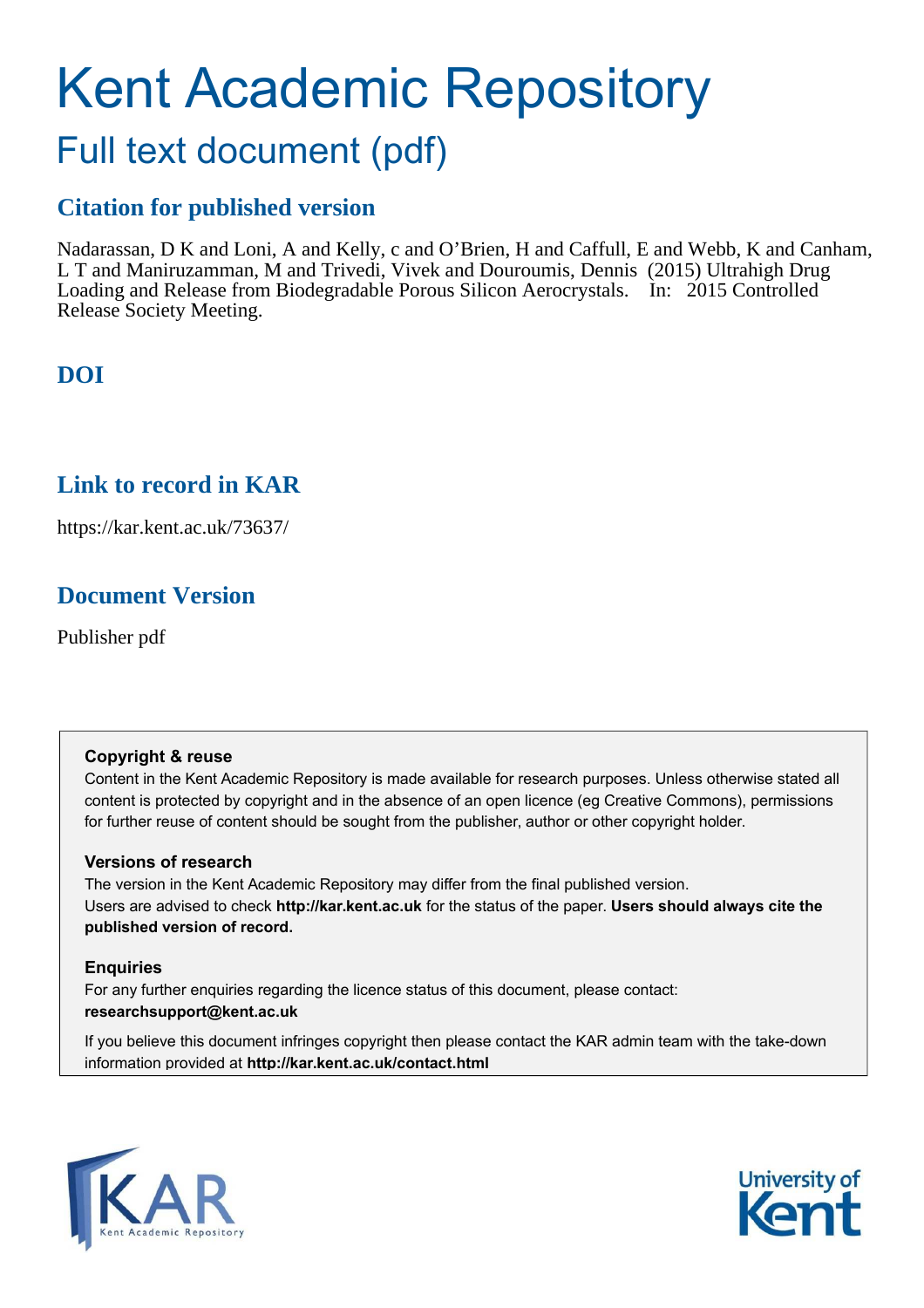# Kent Academic Repository Full text document (pdf)

## **Citation for published version**

Nadarassan, D K and Loni, A and Kelly, c and O'Brien, H and Caffull, E and Webb, K and Canham, L T and Maniruzamman, M and Trivedi, Vivek and Douroumis, Dennis (2015) Ultrahigh Drug Loading and Release from Biodegradable Porous Silicon Aerocrystals. In: 2015 Controlled Release Society Meeting.

# **DOI**

## **Link to record in KAR**

https://kar.kent.ac.uk/73637/

# **Document Version**

Publisher pdf

## **Copyright & reuse**

Content in the Kent Academic Repository is made available for research purposes. Unless otherwise stated all content is protected by copyright and in the absence of an open licence (eg Creative Commons), permissions for further reuse of content should be sought from the publisher, author or other copyright holder.

## **Versions of research**

The version in the Kent Academic Repository may differ from the final published version. Users are advised to check **http://kar.kent.ac.uk** for the status of the paper. **Users should always cite the published version of record.**

## **Enquiries**

For any further enquiries regarding the licence status of this document, please contact: **researchsupport@kent.ac.uk**

If you believe this document infringes copyright then please contact the KAR admin team with the take-down information provided at **http://kar.kent.ac.uk/contact.html**



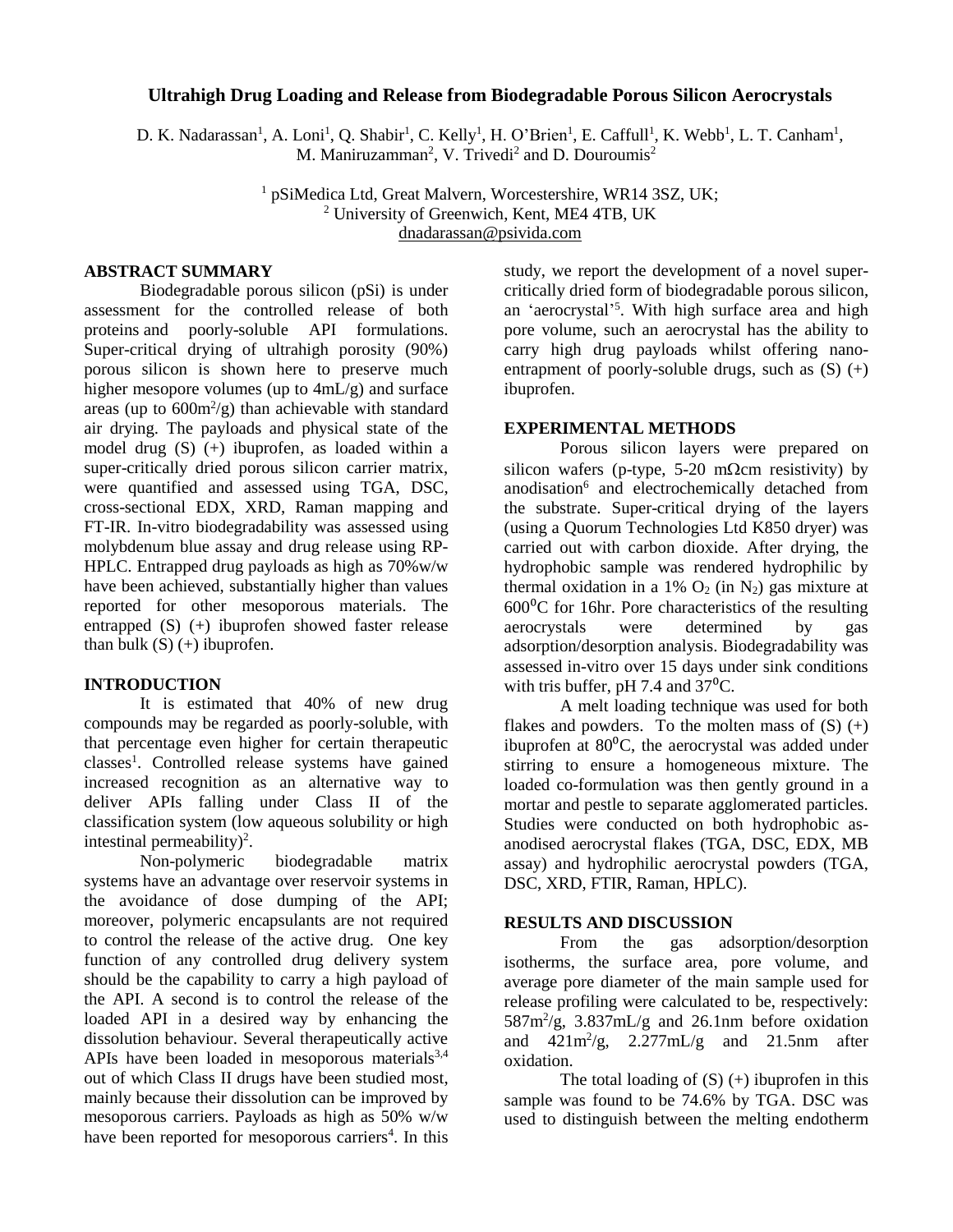#### **Ultrahigh Drug Loading and Release from Biodegradable Porous Silicon Aerocrystals**

D. K. Nadarassan<sup>1</sup>, A. Loni<sup>1</sup>, Q. Shabir<sup>1</sup>, C. Kelly<sup>1</sup>, H. O'Brien<sup>1</sup>, E. Caffull<sup>1</sup>, K. Webb<sup>1</sup>, L. T. Canham<sup>1</sup>, M. Maniruzamman<sup>2</sup>, V. Trivedi<sup>2</sup> and D. Douroumis<sup>2</sup>

> <sup>1</sup> pSiMedica Ltd, Great Malvern, Worcestershire, WR14 3SZ, UK; 2 University of Greenwich, Kent, ME4 4TB, UK dnadarassan@psivida.com

#### **ABSTRACT SUMMARY**

Biodegradable porous silicon (pSi) is under assessment for the controlled release of both proteins and poorly-soluble API formulations. Super-critical drying of ultrahigh porosity (90%) porous silicon is shown here to preserve much higher mesopore volumes (up to 4mL/g) and surface areas (up to  $600 \text{m}^2/\text{g}$ ) than achievable with standard air drying. The payloads and physical state of the model drug (S) (+) ibuprofen, as loaded within a super-critically dried porous silicon carrier matrix, were quantified and assessed using TGA, DSC, cross-sectional EDX, XRD, Raman mapping and FT-IR. In-vitro biodegradability was assessed using molybdenum blue assay and drug release using RP-HPLC. Entrapped drug payloads as high as 70%w/w have been achieved, substantially higher than values reported for other mesoporous materials. The entrapped (S) (+) ibuprofen showed faster release than bulk  $(S)$  (+) ibuprofen.

#### **INTRODUCTION**

It is estimated that 40% of new drug compounds may be regarded as poorly-soluble, with that percentage even higher for certain therapeutic classes<sup>1</sup>. Controlled release systems have gained increased recognition as an alternative way to deliver APIs falling under Class II of the classification system (low aqueous solubility or high intestinal permeability $)^2$ .

Non-polymeric biodegradable matrix systems have an advantage over reservoir systems in the avoidance of dose dumping of the API; moreover, polymeric encapsulants are not required to control the release of the active drug. One key function of any controlled drug delivery system should be the capability to carry a high payload of the API. A second is to control the release of the loaded API in a desired way by enhancing the dissolution behaviour. Several therapeutically active APIs have been loaded in mesoporous materials $3,4$ out of which Class II drugs have been studied most, mainly because their dissolution can be improved by mesoporous carriers. Payloads as high as 50% w/w have been reported for mesoporous carriers<sup>4</sup>. In this

study, we report the development of a novel supercritically dried form of biodegradable porous silicon, an 'aerocrystal' 5 . With high surface area and high pore volume, such an aerocrystal has the ability to carry high drug payloads whilst offering nanoentrapment of poorly-soluble drugs, such as  $(S)$   $(+)$ ibuprofen.

#### **EXPERIMENTAL METHODS**

Porous silicon layers were prepared on silicon wafers (p-type, 5-20 m $\Omega$ cm resistivity) by anodisation<sup>6</sup> and electrochemically detached from the substrate. Super-critical drying of the layers (using a Quorum Technologies Ltd K850 dryer) was carried out with carbon dioxide. After drying, the hydrophobic sample was rendered hydrophilic by thermal oxidation in a 1%  $O_2$  (in N<sub>2</sub>) gas mixture at  $600\textdegree$ C for 16hr. Pore characteristics of the resulting<br>aerocrystals were determined by gas aerocrystals adsorption/desorption analysis. Biodegradability was assessed in-vitro over 15 days under sink conditions with tris buffer, pH 7.4 and  $37^{\circ}$ C.

A melt loading technique was used for both flakes and powders. To the molten mass of  $(S)$   $(+)$ ibuprofen at  $80^{\circ}$ C, the aerocrystal was added under stirring to ensure a homogeneous mixture. The loaded co-formulation was then gently ground in a mortar and pestle to separate agglomerated particles. Studies were conducted on both hydrophobic asanodised aerocrystal flakes (TGA, DSC, EDX, MB assay) and hydrophilic aerocrystal powders (TGA, DSC, XRD, FTIR, Raman, HPLC).

#### **RESULTS AND DISCUSSION**

From the gas adsorption/desorption isotherms, the surface area, pore volume, and average pore diameter of the main sample used for release profiling were calculated to be, respectively: 587m<sup>2</sup> /g, 3.837mL/g and 26.1nm before oxidation and  $421m^2/g$ ,  $2.277mL/g$  and  $21.5nm$  after oxidation.

The total loading of  $(S)$  (+) ibuprofen in this sample was found to be 74.6% by TGA. DSC was used to distinguish between the melting endotherm